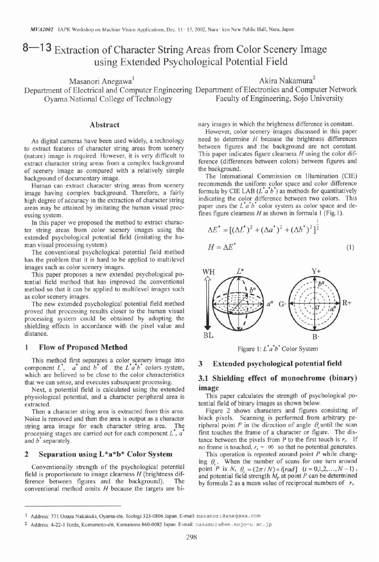# 8-13 Extraction of Character String Areas from Color Scenery Image using Extended Psychological Potential Field

Masanori Anegawa'  $\lambda$ kira Nakamura $\lambda$ Department of Electrical and Computer Engineering Department of Electronics and Computer Network Oyama National College of Technology Faculty of Engineering, Sojo University

# **Abstract**

As digital cameras have been used widely, a technology to extract features of character string areas from scenery (nature) image is required. However, it is very difficult to extract character string areas from a complex background of scenery image as compared with a relatively simple background of documentary image.

Human can extract character string areas from scenery image having complex background. Therefore, a fairly high degree of accuracy in the extraction of character string areas may be attained by imitating the human visual processing system.

In this paper we proposed the method to extract character string areas from color scenery images using the extended psychological potential field (imitating the human visual processing system).

The conventional psychological potential field method has the problem that it is hard to be applied to multilevel images such as color scenery images.

This paper proposes a new extended psychological potential field method that has improved the conventional method so that it can be applied to multilevel images such as color scenery images.

The new extended psychological potential field method proved that processing results closer to the human visual processing system could be obtained by adopting the shielding effects in accordance with the pixel value and distance.

# **1 Flow of Proposed Method**

This method first separates a color scenery image into **3** Extended psychological potential field component  $L^*$ , a<sup>\*</sup> and b<sup>\*</sup> of the  $L^*a^*b^*$  colors system, which are believed to be close to the color characteristics that we can sense, and executes subsequent processing.

Next, a potential field is calculated using the extended physiological potential, and a character peripheral area is extracted.

Then a character string area is extracted from this area. Noise is removed and then the area is output as a character string area image for each character string area. The processing stages are carried out for each component  $\vec{L}$ ,  $\vec{a}$ and  $b^{\dagger}$  separately.

# **2 Separation using L\*a\*b\* Color System**

Conventionally strength of the psychological potential field is proportionate to image clearness  $H$  (brightness difference between figures and the background). The ference between figures and the background). conventional method omits  $H$  because the targets are binary images in which the brightness difference is constant.

However, color scenery images discussed in this paper need to determine H because the brightness differences between figures and the background are not constant. This paper indicates figure clearness  $H$  using the color difference (differences between colors) between figures and the background.

The International Commission on Illumination (CIE) recommends the uniform color space and color difference formula by CIE LAB  $(L^{\bullet} a^{\bullet} b^{\bullet})$  as methods for quantitatively indicating the color difference between two colors. This paper uses the  $\vec{L} \vec{a} \vec{b}$  color system as color space and defines figure clearness  $H$  as shown in formula 1 (Fig.1).

$$
\Delta E^* = [(\Delta L^*)^2 + (\Delta a^*)^2 + (\Delta b^*)^2]^2
$$
  

$$
H = \Delta E^* \tag{1}
$$

I



Figure 1:  $\vec{L} \vec{a} \vec{b}$  Color System

# **3.1 Shielding effect of monochrome (binary) image**

This paper calculates the strength of psychological potential field of binary images as shown below.

Figure 2 shows characters and figures consisting of black pixels. Scanning is performed from arbitrary peripheral point  $P$  in the direction of angle  $\theta$ , until the scan first touches the frame of a character or figure. The distance between the pixels from P to the first touch is  $r_i$ . If no frame is touched,  $r_i = \infty$  so that no potential generates.

This operation is repeated around point  $P$  while changing  $\theta$ <sub>i</sub>. When the number of scans for one turn around point *P* is *N*,  $\theta_i = (2\pi/N) \times i[rad]$   $(i = 0,1,2,..., N-1)$ , and potential field strength  $M_p$  at point  $P$  can be determined by formula 2 as a mean value of reciprocal numbers of *r,.* 

Address: 771 Ooaza Nakakuki, Oyama-shi. Tochigi 323-0806 Japan. E-mail: **masanorieanegawa** . **com** 

Address: 4-22-1 Ikeda, Kumamoto-shi, Kumamoto 860-0082 Japan. E-mail: **nakamuraeee** . so **jo-u** . **ac** . **jp**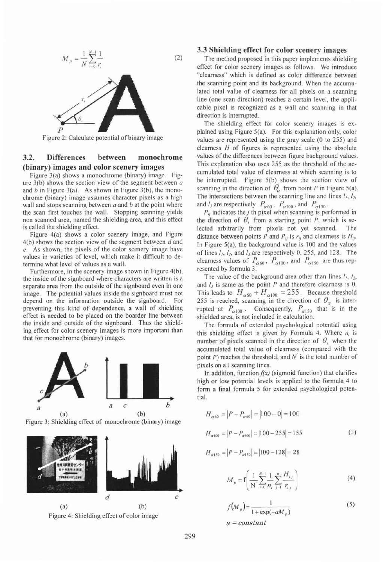

Figure 2: Calculate potential of binary image

# **3.2. Differences between monochrome (binary) images and color scenery images**

Figure 3(a) shows a monochrome (binary) image. Figure  $3(b)$  shows the section view of the segment between  $a$ and *b* in Figure 3(a). As shown in Figure 3(b), the monochrome (binary) image assumes character pixels as a high wall and stops scanning between a and *b* at the point where the scan first touches the wall. Stopping scanning yields non scanned area, named the shielding area, and this effect is called the shielding effect.

Figure 4(a) shows a color scenery image, and Figure 4(b) shows the section view of the segment between d and *e.* As shown, the pixels of the color scenery image have values in varieties of level, which make it difficult to determine what level of values as a wall.

Furthermore, in the scenery image shown in Figure 4(b), the inside of the signboard where characters are written is a separate area from the outside of the signboard even in one image. The potential values inside the signboard must not depend on the information outside the signboard. For preventing this kind of dependence, a wall of shielding effect is needed to be placed on the boarder line between the inside and outside of the signboard. Thus the shielding effect for color scenery images is more important than that for monochrome (binary) images.



Figure **3:** Shielding effect of monochrome (binary) image





### **3.3 Shielding effect for color scenery images**

The method proposed in this paper implements shielding effect for color scenery images as follows. We introduce "clearness" which is defined as color difference between the scanning point and its background. When the accumulated total value of clearness for all pixels on a scanning line (one scan direction) reaches a certain level, the applicable pixel is recognized as a wall and scanning in that direction is interrupted.

The shielding effect for color scenery images is explained using Figure 5(a). For this explanation only, color values are represented using the gray scale (0 to 255) and clearness *H* of figures is represented using the absolute values of the differences between figure background values. This explanation also uses 255 as the threshold of the accumulated total value of clearness at which scanning is to be interrupted. Figure 5(b) shows the section view of scanning in the direction of  $\theta_{\alpha}$  from point P in Figure 5(a). The intersections between the scanning line and lines  $I_1$ ,  $I_2$ , and  $l_3$  are respectively  $P_{\alpha 60}$ ,  $P_{\alpha 100}$ , and  $P_{\alpha 150}$ .

 $P_{ij}$  indicates the *j* th pixel when scanning is performed in the direction of  $\theta$ , from a starting point P, which is selected arbitrarily from pixels not yet scanned. The distance between points P and  $P_{ij}$  is  $r_{ij}$  and clearness is  $H_{ij}$ . In Figure 5(a), the background value is 100 and the values of lines  $l_1$ ,  $l_2$ , and  $l_3$  are respectively 0, 255, and 128. The clearness values of  $P_{\alpha 60}$ ,  $P_{\alpha 100}$ , and  $P_{\alpha 150}$  are thus represented by formula 3.

The value of the background area other than lines *I,, 12,*  and  $I_3$  is same as the point  $P$  and therefore clearness is 0. This leads to  $H_{\alpha 60} + H_{\alpha 100} = 255$ . Because threshold 255 is reached, scanning in the direction of  $\theta_{\alpha}$  is interrupted at  $P_{\alpha 100}$ . Consequently,  $P_{\alpha 150}$  that is in the shielded area, is not included in calculation.

The formula of extended psychological potential using this shielding effect is given by Formula 4. Where *n,* is number of pixels scanned in the direction of  $\theta$ , when the accumulated total value of clearness (compared with the point P) reaches the threshold, and *N'* is the total number of pixels on all scanning lines.

In addition, function *fix)* (sigmoid function) that clarifies high or low potential levels is applied to the formula 4 to form a final formula 5 for extended psychological potential.

$$
H_{\alpha 60} = |P - P_{\alpha 60}| = |100 - 0| = 100
$$
  

$$
H_{\alpha 100} = |P - P_{\alpha 100}| = |100 - 255| = 155
$$
 (3)

$$
H_{\alpha 150} = |P - P_{\alpha 150}| = |100 - 128| = 28
$$

$$
M_{p} = f\left(\frac{1}{N}\sum_{i=0}^{N-1} \frac{1}{n_{i}} \sum_{j=1}^{n} \frac{H_{i j}}{r_{i j}}\right)
$$
(4)

$$
f(M_p) = \frac{1}{1 + \exp(-aM_p)}
$$
(5)  

$$
a = constant
$$

299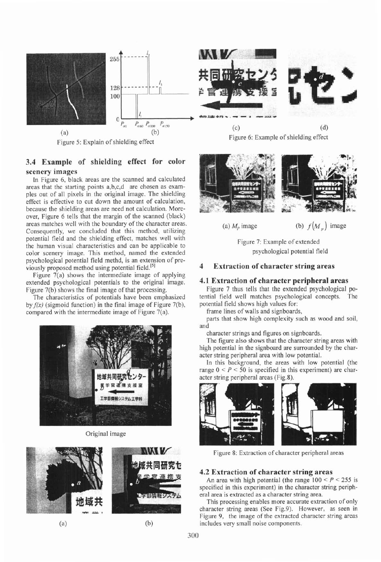

Figure 5: Explain of shielding effect

# **3.4 Example of shielding effect for color scenery images**

In Figure 6, black areas are the scanned and calculated areas that the starting points a,b,c,d are chosen as examples out of all pixels in the original image. The shielding effect is effective to cut down the amount of calculation, because the shielding areas are need not calculation. Moreover, Figure 6 tells that the margin of the scanned (black) areas matches well with the boundary of the character areas. Consequently, we concluded that this method, utilizing potential field and the shielding effect, matches well with the human visual characteristics and can be applicable to color scenery image. This method, named the extended psychological potential field methd, is an extension of previously proposed method using potential field.<sup>[5]</sup>

Figure 7(a) shows the intermediate image of applying extended psychological potentials to the original image. Figure 7(b) shows the final image of that processing.

The characteristics of potentials have been emphasized by *f(x)* (sigmoid function) in the final image of Figure 7(b), compared with the intermediate image of Figure 7(a).



Original image









(a)  $M_p$  image (b)  $f(M_p)$  image

Figure 7: Example of extended psychological potential field

# **4 Extraction of character string areas**

### **4.1 Extraction of character peripheral areas**

Figure 7 thus tells that the extended psychological potential field well matches psychological concepts. The potential field shows high values for:

frame lines of walls and signboards,

parts that show high complexity such as wood and soil, and

character strings and figures on signboards.

The figure also shows that the character string areas with high potential in the signboard are surrounded by the character string peripheral area with low potential.

In this background, the areas with low potential (the range  $0 < P < 50$  is specified in this experiment) are character string peripheral areas (Fig.8).



Figure 8: Extraction of character peripheral areas

#### **4.2 Extraction of character string areas**

An area with high potential (the range  $100 < P < 255$  is specified in this experiment) in the character string peripheral area is extracted as a character string area.

This processing enables more accurate extraction of only character string areas (See Fig.9). However, as seen in Figure 9, the image of the extracted character string areas (b) includes very small noise components.